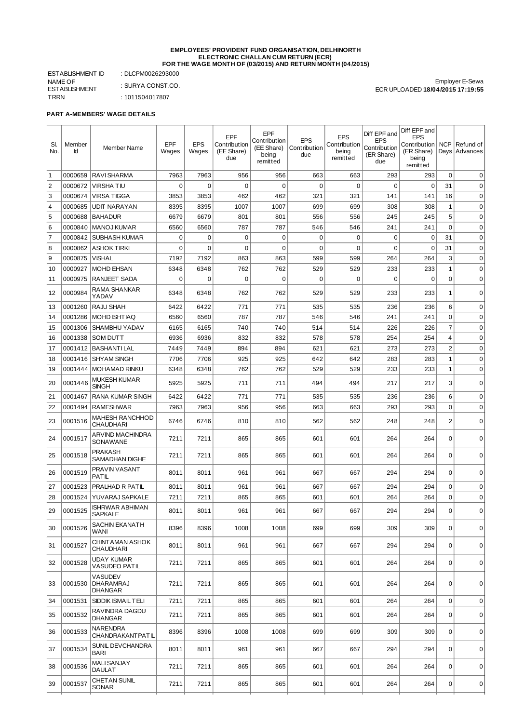## **EMPLOYEES' PROVIDENT FUND ORGANISATION, DELHINORTH ELECTRONIC CHALLAN CUM RETURN (ECR) FOR THE WAGE MONTH OF (03/2015) AND RETURN MONTH (04/2015)**

ESTABLISHMENT ID : DLCPM0026293000 NAME OF ESTABLISHMENT<br>TRRN : SURYA CONST.CO.  $: 1011504017807$ 

Employer E-Sewa ECR UPLOADED **18/04/2015 17:19:55**

**PART A-MEMBERS' WAGE DETAILS**

| SI.<br>No.     | Member<br>Id | Member Name                                          | EPF<br>Wages | <b>EPS</b><br>Wages | EPF<br>Contribution<br>(EE Share)<br>due | <b>EPF</b><br>Contribution<br>(EE Share)<br>being<br>remitted | <b>EPS</b><br>Contribution<br>due | <b>EPS</b><br>Contribution<br>being<br>remitted | Diff EPF and<br><b>EPS</b><br>Contribution<br>(ER Share)<br>due | Diff EPF and<br><b>EPS</b><br>Contribution<br>(ER Share)<br>being<br>remitted | NCP            | Refund of<br>Days Advances |
|----------------|--------------|------------------------------------------------------|--------------|---------------------|------------------------------------------|---------------------------------------------------------------|-----------------------------------|-------------------------------------------------|-----------------------------------------------------------------|-------------------------------------------------------------------------------|----------------|----------------------------|
| 1              | 0000659      | <b>RAVI SHARMA</b>                                   | 7963         | 7963                | 956                                      | 956                                                           | 663                               | 663                                             | 293                                                             | 293                                                                           | $\mathbf 0$    | $\mathbf 0$                |
| $\overline{c}$ | 0000672      | <b>VIRSHATIU</b>                                     | 0            | 0                   | $\mathbf 0$                              | 0                                                             | 0                                 | $\mathbf 0$                                     | $\Omega$                                                        | 0                                                                             | 31             | 0                          |
| 3              | 0000674      | <b>VIRSA TIGGA</b>                                   | 3853         | 3853                | 462                                      | 462                                                           | 321                               | 321                                             | 141                                                             | 141                                                                           | 16             | 0                          |
| 4              | 0000685      | <b>UDIT NARAYAN</b>                                  | 8395         | 8395                | 1007                                     | 1007                                                          | 699                               | 699                                             | 308                                                             | 308                                                                           | $\mathbf{1}$   | 0                          |
| 5              | 0000688      | <b>BAHADUR</b>                                       | 6679         | 6679                | 801                                      | 801                                                           | 556                               | 556                                             | 245                                                             | 245                                                                           | 5              | $\mathbf 0$                |
| 6              | 0000840      | <b>MANOJ KUMAR</b>                                   | 6560         | 6560                | 787                                      | 787                                                           | 546                               | 546                                             | 241                                                             | 241                                                                           | $\mathbf 0$    | $\mathbf 0$                |
| 7              | 0000842      | <b>SUBHASH KUMAR</b>                                 | 0            | 0                   | $\mathbf 0$                              | 0                                                             | 0                                 | $\mathbf 0$                                     | $\mathbf 0$                                                     | $\mathbf 0$                                                                   | 31             | $\mathbf 0$                |
| 8              | 0000862      | <b>ASHOK TIRKI</b>                                   | 0            | $\mathbf 0$         | $\mathbf 0$                              | 0                                                             | $\Omega$                          | $\mathbf 0$                                     | $\mathbf 0$                                                     | 0                                                                             | 31             | $\mathbf 0$                |
| 9              | 0000875      | <b>VISHAL</b>                                        | 7192         | 7192                | 863                                      | 863                                                           | 599                               | 599                                             | 264                                                             | 264                                                                           | 3              | $\mathbf 0$                |
| 10             | 0000927      | <b>MOHD EHSAN</b>                                    | 6348         | 6348                | 762                                      | 762                                                           | 529                               | 529                                             | 233                                                             | 233                                                                           | $1\,$          | $\mathbf 0$                |
| 11             | 0000975      | <b>RANJEET SADA</b>                                  | 0            | 0                   | $\mathbf 0$                              | $\mathbf 0$                                                   | 0                                 | $\mathbf 0$                                     | $\mathbf 0$                                                     | $\mathbf 0$                                                                   | $\mathbf 0$    | $\mathbf 0$                |
| 12             | 0000984      | RAMA SHANKAR<br>YADAV                                | 6348         | 6348                | 762                                      | 762                                                           | 529                               | 529                                             | 233                                                             | 233                                                                           | $\mathbf{1}$   | $\mathbf 0$                |
| 13             | 0001260      | RAJU SHAH                                            | 6422         | 6422                | 771                                      | 771                                                           | 535                               | 535                                             | 236                                                             | 236                                                                           | 6              | 0                          |
| 14             | 0001286      | <b>MOHD ISHTIAQ</b>                                  | 6560         | 6560                | 787                                      | 787                                                           | 546                               | 546                                             | 241                                                             | 241                                                                           | 0              | $\mathbf 0$                |
| 15             | 0001306      | SHAMBHU YADAV                                        | 6165         | 6165                | 740                                      | 740                                                           | 514                               | 514                                             | 226                                                             | 226                                                                           | $\overline{7}$ | $\mathbf 0$                |
| 16             | 0001338      | <b>SOM DUTT</b>                                      | 6936         | 6936                | 832                                      | 832                                                           | 578                               | 578                                             | 254                                                             | 254                                                                           | $\overline{4}$ | $\mathbf 0$                |
| 17             | 0001412      | <b>BASHANTILAL</b>                                   | 7449         | 7449                | 894                                      | 894                                                           | 621                               | 621                                             | 273                                                             | 273                                                                           | $\overline{c}$ | $\mathbf 0$                |
| 18             | 0001416      | <b>SHYAM SINGH</b>                                   | 7706         | 7706                | 925                                      | 925                                                           | 642                               | 642                                             | 283                                                             | 283                                                                           | $\mathbf{1}$   | $\mathbf 0$                |
| 19             | 0001444      | MOHAMAD RINKU                                        | 6348         | 6348                | 762                                      | 762                                                           | 529                               | 529                                             | 233                                                             | 233                                                                           | $\mathbf{1}$   | $\mathbf 0$                |
| 20             | 0001446      | <b>MUKESH KUMAR</b><br><b>SINGH</b>                  | 5925         | 5925                | 711                                      | 711                                                           | 494                               | 494                                             | 217                                                             | 217                                                                           | 3              | $\mathbf 0$                |
| 21             | 0001467      | <b>RANA KUMAR SINGH</b>                              | 6422         | 6422                | 771                                      | 771                                                           | 535                               | 535                                             | 236                                                             | 236                                                                           | 6              | $\mathbf 0$                |
| 22             | 0001494      | <b>RAMESHWAR</b>                                     | 7963         | 7963                | 956                                      | 956                                                           | 663                               | 663                                             | 293                                                             | 293                                                                           | $\mathbf 0$    | 0                          |
| 23             | 0001516      | <b>MAHESH RANCHHOD</b><br><b>CHAUDHARI</b>           | 6746         | 6746                | 810                                      | 810                                                           | 562                               | 562                                             | 248                                                             | 248                                                                           | $\overline{2}$ | $\mathbf 0$                |
| 24             | 0001517      | <b>ARVIND MACHINDRA</b><br>SONAWANE                  | 7211         | 7211                | 865                                      | 865                                                           | 601                               | 601                                             | 264                                                             | 264                                                                           | $\mathbf 0$    | $\Omega$                   |
| 25             | 0001518      | PRAKASH<br>SAMADHAN DIGHE                            | 7211         | 7211                | 865                                      | 865                                                           | 601                               | 601                                             | 264                                                             | 264                                                                           | $\mathbf 0$    | $\mathbf 0$                |
| 26             | 0001519      | PRAVIN VASANT<br>PATIL                               | 8011         | 8011                | 961                                      | 961                                                           | 667                               | 667                                             | 294                                                             | 294                                                                           | 0              | $\mathbf 0$                |
| 27             | 0001523      | PRALHAD R PATIL                                      | 8011         | 8011                | 961                                      | 961                                                           | 667                               | 667                                             | 294                                                             | 294                                                                           | $\mathbf 0$    | $\mathbf 0$                |
| 28             | 0001524      | YUVARAJ SAPKALE                                      | 7211         | 7211                | 865                                      | 865                                                           | 601                               | 601                                             | 264                                                             | 264                                                                           | $\mathbf 0$    | $\mathbf 0$                |
| 29             | 0001525      | <b>ISHRWAR ABHIMAN</b><br><b>SAPKALE</b>             | 8011         | 8011                | 961                                      | 961                                                           | 667                               | 667                                             | 294                                                             | 294                                                                           | 0              | $\overline{0}$             |
| 30             | 0001526      | SACHIN EKANATH<br>WANI                               | 8396         | 8396                | 1008                                     | 1008                                                          | 699                               | 699                                             | 309                                                             | 309                                                                           | $\mathbf 0$    | 0                          |
| 31             | 0001527      | <b>CHINT AMAN ASHOK</b><br><b>CHAUDHARI</b>          | 8011         | 8011                | 961                                      | 961                                                           | 667                               | 667                                             | 294                                                             | 294                                                                           | $\mathbf 0$    | 0                          |
| 32             | 0001528      | <b>UDAY KUMAR</b><br>VASUDEO PATIL                   | 7211         | 7211                | 865                                      | 865                                                           | 601                               | 601                                             | 264                                                             | 264                                                                           | $\mathbf 0$    | 0                          |
| 33             | 0001530      | <b>VASUDEV</b><br><b>DHARAMRAJ</b><br><b>DHANGAR</b> | 7211         | 7211                | 865                                      | 865                                                           | 601                               | 601                                             | 264                                                             | 264                                                                           | $\mathbf 0$    | $\mathbf 0$                |
| 34             | 0001531      | SIDDIK ISMAIL TELI                                   | 7211         | 7211                | 865                                      | 865                                                           | 601                               | 601                                             | 264                                                             | 264                                                                           | $\mathbf 0$    | $\mathbf 0$                |
| 35             | 0001532      | RAVINDRA DAGDU<br><b>DHANGAR</b>                     | 7211         | 7211                | 865                                      | 865                                                           | 601                               | 601                                             | 264                                                             | 264                                                                           | $\mathbf 0$    | 0                          |
| 36             | 0001533      | <b>NARENDRA</b><br>CHANDRAKANTPATIL                  | 8396         | 8396                | 1008                                     | 1008                                                          | 699                               | 699                                             | 309                                                             | 309                                                                           | $\mathbf 0$    | $\mathbf 0$                |
| 37             | 0001534      | SUNIL DEVCHANDRA<br><b>BARI</b>                      | 8011         | 8011                | 961                                      | 961                                                           | 667                               | 667                                             | 294                                                             | 294                                                                           | 0              | 0                          |
| 38             | 0001536      | <b>MALI SANJAY</b><br><b>DAULAT</b>                  | 7211         | 7211                | 865                                      | 865                                                           | 601                               | 601                                             | 264                                                             | 264                                                                           | $\mathbf 0$    | $\mathbf 0$                |
| 39             | 0001537      | <b>CHET AN SUNIL</b><br><b>SONAR</b>                 | 7211         | 7211                | 865                                      | 865                                                           | 601                               | 601                                             | 264                                                             | 264                                                                           | 0              | $\Omega$                   |
|                |              |                                                      |              |                     |                                          |                                                               |                                   |                                                 |                                                                 |                                                                               |                |                            |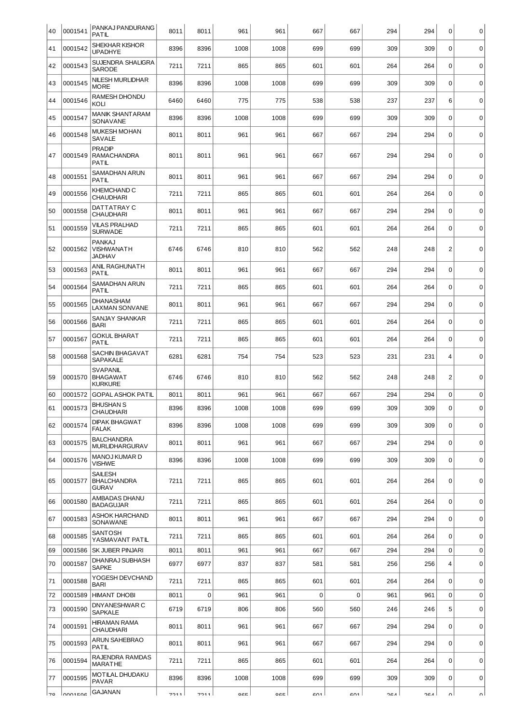| 40 | 0001541   | PANKAJ PANDURANG<br>PATIL                            | 8011 | 8011        | 961  | 961  | 667         | 667         | 294 | 294 | 0              | 0           |
|----|-----------|------------------------------------------------------|------|-------------|------|------|-------------|-------------|-----|-----|----------------|-------------|
| 41 | 0001542   | SHEKHAR KISHOR<br><b>UPADHYE</b>                     | 8396 | 8396        | 1008 | 1008 | 699         | 699         | 309 | 309 | $\mathbf 0$    | $\mathbf 0$ |
| 42 | 0001543   | SUJENDRA SHALIGRA<br><b>SARODE</b>                   | 7211 | 7211        | 865  | 865  | 601         | 601         | 264 | 264 | $\mathbf 0$    | $\mathbf 0$ |
| 43 | 0001545   | NILESH MURLIDHAR<br><b>MORE</b>                      | 8396 | 8396        | 1008 | 1008 | 699         | 699         | 309 | 309 | $\mathbf 0$    | $\mathbf 0$ |
| 44 | 0001546   | RAMESH DHONDU<br>KOLI                                | 6460 | 6460        | 775  | 775  | 538         | 538         | 237 | 237 | 6              | $\mathbf 0$ |
| 45 | 0001547   | <b>MANIK SHANTARAM</b><br>SONAVANE                   | 8396 | 8396        | 1008 | 1008 | 699         | 699         | 309 | 309 | $\mathbf 0$    | $\mathbf 0$ |
| 46 | 0001548   | <b>MUKESH MOHAN</b><br>SAVALE                        | 8011 | 8011        | 961  | 961  | 667         | 667         | 294 | 294 | $\mathbf 0$    | $\mathbf 0$ |
| 47 | 0001549   | <b>PRADIP</b><br>RAMACHANDRA<br>PATIL                | 8011 | 8011        | 961  | 961  | 667         | 667         | 294 | 294 | $\mathbf 0$    | $\mathbf 0$ |
| 48 | 0001551   | SAMADHAN ARUN<br>PATIL                               | 8011 | 8011        | 961  | 961  | 667         | 667         | 294 | 294 | $\mathbf 0$    | $\mathbf 0$ |
| 49 | 0001556   | KHEMCHAND C<br>CHAUDHARI                             | 7211 | 7211        | 865  | 865  | 601         | 601         | 264 | 264 | $\mathbf 0$    | $\mathbf 0$ |
| 50 | 0001558   | DATTATRAY C<br>CHAUDHARI                             | 8011 | 8011        | 961  | 961  | 667         | 667         | 294 | 294 | $\mathbf 0$    | 0           |
| 51 | 0001559   | VILAS PRALHAD<br><b>SURWADE</b>                      | 7211 | 7211        | 865  | 865  | 601         | 601         | 264 | 264 | $\mathbf 0$    | $\mathbf 0$ |
| 52 | 0001562   | PANKAJ<br>VISHWANATH<br>JADHAV                       | 6746 | 6746        | 810  | 810  | 562         | 562         | 248 | 248 | $\overline{2}$ | $\mathbf 0$ |
| 53 | 0001563   | ANIL RAGHUNATH<br>PATIL                              | 8011 | 8011        | 961  | 961  | 667         | 667         | 294 | 294 | $\mathbf 0$    | $\mathbf 0$ |
| 54 | 0001564   | SAMADHAN ARUN<br>PATIL                               | 7211 | 7211        | 865  | 865  | 601         | 601         | 264 | 264 | $\mathbf 0$    | $\mathbf 0$ |
| 55 | 0001565   | DHANASHAM<br>LAXMAN SONVANE                          | 8011 | 8011        | 961  | 961  | 667         | 667         | 294 | 294 | $\mathbf 0$    | $\mathbf 0$ |
| 56 | 0001566   | SANJAY SHANKAR<br><b>BARI</b>                        | 7211 | 7211        | 865  | 865  | 601         | 601         | 264 | 264 | $\mathbf 0$    | $\pmb{0}$   |
| 57 | 0001567   | GOKUL BHARAT<br>PATIL                                | 7211 | 7211        | 865  | 865  | 601         | 601         | 264 | 264 | $\mathbf 0$    | $\mathbf 0$ |
| 58 | 0001568   | SACHIN BHAGAVAT<br>SAPAKALE                          | 6281 | 6281        | 754  | 754  | 523         | 523         | 231 | 231 | 4              | $\mathbf 0$ |
| 59 | 0001570   | <b>SVAPANIL</b><br><b>BHAGAWAT</b><br><b>KURKURE</b> | 6746 | 6746        | 810  | 810  | 562         | 562         | 248 | 248 | $\overline{c}$ | 0           |
| 60 | 0001572   | <b>GOPAL ASHOK PATIL</b>                             | 8011 | 8011        | 961  | 961  | 667         | 667         | 294 | 294 | $\mathbf 0$    | $\mathbf 0$ |
| 61 | 0001573   | <b>BHUSHAN S</b><br>CHAUDHARI                        | 8396 | 8396        | 1008 | 1008 | 699         | 699         | 309 | 309 | 0              | 0           |
| 62 | 0001574   | <b>DIPAK BHAGWAT</b><br>FALAK                        | 8396 | 8396        | 1008 | 1008 | 699         | 699         | 309 | 309 | $\mathbf 0$    | $\mathbf 0$ |
| 63 | 0001575   | BALCHANDRA<br><b>MURLIDHARGURAV</b>                  | 8011 | 8011        | 961  | 961  | 667         | 667         | 294 | 294 | $\Omega$       | 0           |
| 64 | 0001576   | MANOJ KUMAR D<br>VISHWE                              | 8396 | 8396        | 1008 | 1008 | 699         | 699         | 309 | 309 | $\mathbf 0$    | $\mathbf 0$ |
| 65 | 0001577   | SAILESH<br><b>BHALCHANDRA</b><br>GURAV               | 7211 | 7211        | 865  | 865  | 601         | 601         | 264 | 264 | $\mathbf 0$    | $\mathbf 0$ |
| 66 | 0001580   | AMBADAS DHANU<br><b>BADAGUJAR</b>                    | 7211 | 7211        | 865  | 865  | 601         | 601         | 264 | 264 | $\mathbf 0$    | $\pmb{0}$   |
| 67 | 0001583   | ASHOK HARCHAND<br>SONAWANE                           | 8011 | 8011        | 961  | 961  | 667         | 667         | 294 | 294 | $\mathbf 0$    | $\mathbf 0$ |
| 68 | 0001585   | SANTOSH<br>YASMAVANT PATIL                           | 7211 | 7211        | 865  | 865  | 601         | 601         | 264 | 264 | $\mathbf 0$    | $\mathbf 0$ |
| 69 | 0001586   | SK JUBER PINJARI                                     | 8011 | 8011        | 961  | 961  | 667         | 667         | 294 | 294 | $\pmb{0}$      | $\mathbf 0$ |
| 70 | 0001587   | DHANRAJ SUBHASH<br><b>SAPKE</b>                      | 6977 | 6977        | 837  | 837  | 581         | 581         | 256 | 256 | $\overline{4}$ | $\mathsf 0$ |
| 71 | 0001588   | YOGESH DEVCHAND<br><b>BARI</b>                       | 7211 | 7211        | 865  | 865  | 601         | 601         | 264 | 264 | $\mathbf 0$    | $\mathbf 0$ |
| 72 | 0001589   | <b>HIMANT DHOBI</b>                                  | 8011 | $\mathbf 0$ | 961  | 961  | $\mathbf 0$ | $\mathbf 0$ | 961 | 961 | $\mathbf 0$    | $\pmb{0}$   |
| 73 | 0001590   | DNYANESHWAR C<br><b>SAPKALE</b>                      | 6719 | 6719        | 806  | 806  | 560         | 560         | 246 | 246 | 5              | 0           |
| 74 | 0001591   | HIRAMAN RAMA<br>CHAUDHARI                            | 8011 | 8011        | 961  | 961  | 667         | 667         | 294 | 294 | $\mathbf 0$    | $\pmb{0}$   |
| 75 | 0001593   | ARUN SAHEBRAO<br>PATIL                               | 8011 | 8011        | 961  | 961  | 667         | 667         | 294 | 294 | $\mathbf 0$    | $\mathbf 0$ |
| 76 | 0001594   | RAJENDRA RAMDAS<br>MARATHE                           | 7211 | 7211        | 865  | 865  | 601         | 601         | 264 | 264 | $\mathbf 0$    | $\mathbf 0$ |
| 77 | 0001595   | MOTILAL DHUDAKU<br>PAVAR                             | 8396 | 8396        | 1008 | 1008 | 699         | 699         | 309 | 309 | $\mathbf 0$    | $\mathbf 0$ |
| 70 | nonlinear | <b>GAJANAN</b>                                       | 7011 | 7911        | 220  | 220  | 601         | 601         | 261 | 261 | nΙ             | nΙ          |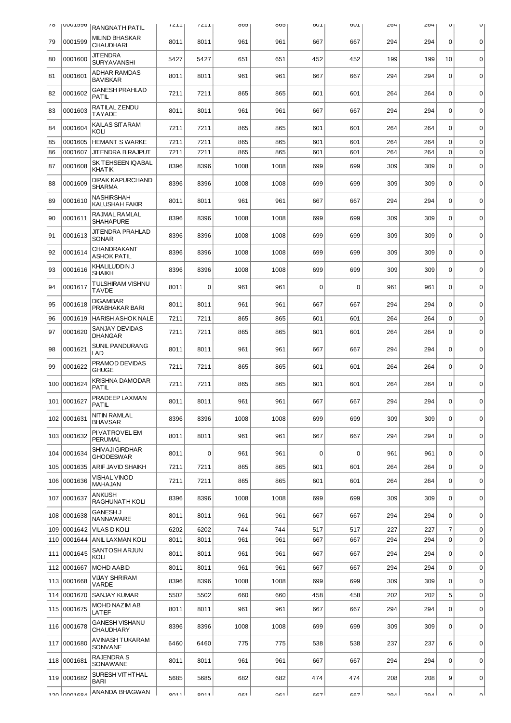| 10  | <b>UUULDYD</b> | RANGNATH PATIL                             | 1211             | 1211             | 605  | coo  | <b>DUT</b>  | <b>DOT</b> | 204 | 204 | U              | U           |
|-----|----------------|--------------------------------------------|------------------|------------------|------|------|-------------|------------|-----|-----|----------------|-------------|
| 79  | 0001599        | <b>MILIND BHASKAR</b><br><b>CHAUDHARI</b>  | 8011             | 8011             | 961  | 961  | 667         | 667        | 294 | 294 | $\mathbf 0$    | $\mathbf 0$ |
| 80  | 0001600        | <b>JIT ENDRA</b><br><b>SURYAVANSHI</b>     | 5427             | 5427             | 651  | 651  | 452         | 452        | 199 | 199 | 10             | $\mathbf 0$ |
| 81  | 0001601        | <b>ADHAR RAMDAS</b><br><b>BAVISKAR</b>     | 8011             | 8011             | 961  | 961  | 667         | 667        | 294 | 294 | $\mathbf 0$    | $\mathbf 0$ |
| 82  | 0001602        | <b>GANESH PRAHLAD</b><br>PATIL             | 7211             | 7211             | 865  | 865  | 601         | 601        | 264 | 264 | $\mathbf 0$    | $\mathbf 0$ |
| 83  | 0001603        | RATILAL ZENDU<br><b>TAYADE</b>             | 8011             | 8011             | 961  | 961  | 667         | 667        | 294 | 294 | $\mathbf 0$    | $\mathbf 0$ |
| 84  | 0001604        | KAILAS SITARAM<br>KOLI                     | 7211             | 7211             | 865  | 865  | 601         | 601        | 264 | 264 | $\mathbf 0$    | $\mathbf 0$ |
| 85  | 0001605        | <b>HEMANT S WARKE</b>                      | 7211             | 7211             | 865  | 865  | 601         | 601        | 264 | 264 | 0              | $\mathbf 0$ |
| 86  | 0001607        | JIT ENDRA B RAJPUT                         | 7211             | 7211             | 865  | 865  | 601         | 601        | 264 | 264 | 0              | $\mathbf 0$ |
| 87  | 0001608        | SK TEHSEEN IQABAL<br><b>KHAT IK</b>        | 8396             | 8396             | 1008 | 1008 | 699         | 699        | 309 | 309 | $\Omega$       | $\mathbf 0$ |
| 88  | 0001609        | <b>DIPAK KAPURCHAND</b><br><b>SHARMA</b>   | 8396             | 8396             | 1008 | 1008 | 699         | 699        | 309 | 309 | $\mathbf 0$    | $\mathbf 0$ |
| 89  | 0001610        | <b>NASHIRSHAH</b><br>KALUSHAH FAKIR        | 8011             | 8011             | 961  | 961  | 667         | 667        | 294 | 294 | $\mathbf 0$    | 0           |
| 90  | 0001611        | RAJMAL RAMLAL<br><b>SHAHAPURE</b>          | 8396             | 8396             | 1008 | 1008 | 699         | 699        | 309 | 309 | $\mathbf 0$    | $\mathbf 0$ |
| 91  | 0001613        | <b>JIT ENDRA PRAHLAD</b><br><b>SONAR</b>   | 8396             | 8396             | 1008 | 1008 | 699         | 699        | 309 | 309 | 0              | $\mathbf 0$ |
| 92  | 0001614        | CHANDRAKANT<br><b>ASHOK PATIL</b>          | 8396             | 8396             | 1008 | 1008 | 699         | 699        | 309 | 309 | $\mathbf 0$    | $\mathbf 0$ |
| 93  | 0001616        | KHALILUDDIN J<br><b>SHAIKH</b>             | 8396             | 8396             | 1008 | 1008 | 699         | 699        | 309 | 309 | $\Omega$       | $\mathbf 0$ |
| 94  | 0001617        | <b>TULSHIRAM VISHNU</b><br><b>TAVDE</b>    | 8011             | $\Omega$         | 961  | 961  | $\mathbf 0$ | 0          | 961 | 961 | 0              | 0           |
| 95  | 0001618        | <b>DIGAMBAR</b><br>PRABHAKAR BARI          | 8011             | 8011             | 961  | 961  | 667         | 667        | 294 | 294 | $\mathbf 0$    | $\mathbf 0$ |
| 96  | 0001619        | <b>HARISH ASHOK NALE</b>                   | 7211             | 7211             | 865  | 865  | 601         | 601        | 264 | 264 | $\mathbf 0$    | $\mathbf 0$ |
| 97  | 0001620        | SANJAY DEVIDAS<br><b>DHANGAR</b>           | 7211             | 7211             | 865  | 865  | 601         | 601        | 264 | 264 | $\mathbf 0$    | $\mathbf 0$ |
| 98  | 0001621        | SUNIL PANDURANG<br>LAD                     | 8011             | 8011             | 961  | 961  | 667         | 667        | 294 | 294 | $\mathbf 0$    | $\mathbf 0$ |
| 99  | 0001622        | PRAMOD DEVIDAS<br><b>GHUGE</b>             | 7211             | 7211             | 865  | 865  | 601         | 601        | 264 | 264 | 0              | $\mathbf 0$ |
| 100 | 0001624        | KRISHNA DAMODAR<br><b>PATIL</b>            | 7211             | 7211             | 865  | 865  | 601         | 601        | 264 | 264 | 0              | $\mathbf 0$ |
| 101 | 0001627        | PRADEEP LAXMAN<br>PATIL                    | 8011             | 8011             | 961  | 961  | 667         | 667        | 294 | 294 | 0              | $\mathbf 0$ |
|     | 102 0001631    | NITIN RAMLAL<br><b>BHAVSAR</b>             | 8396             | 8396             | 1008 | 1008 | 699         | 699        | 309 | 309 | 0              | $\mathbf 0$ |
|     | 103 0001632    | PI VAT ROVEL EM<br><b>PERUMAL</b>          | 8011             | 8011             | 961  | 961  | 667         | 667        | 294 | 294 | $\mathbf 0$    | $\mathbf 0$ |
| 104 | 0001634        | <b>SHIVAJI GIRDHAR</b><br><b>GHODESWAR</b> | 8011             | 0                | 961  | 961  | 0           | 0          | 961 | 961 | 0              | 0           |
| 105 | 0001635        | ARIF JAVID SHAIKH                          | 7211             | 7211             | 865  | 865  | 601         | 601        | 264 | 264 | 0              | $\mathbf 0$ |
| 106 | 0001636        | <b>VISHAL VINOD</b><br><b>MAHAJAN</b>      | 7211             | 7211             | 865  | 865  | 601         | 601        | 264 | 264 | $\mathbf 0$    | $\mathbf 0$ |
| 107 | 0001637        | ANKUSH<br>RAGHUNATH KOLI                   | 8396             | 8396             | 1008 | 1008 | 699         | 699        | 309 | 309 | 0              | 0           |
| 108 | 0001638        | <b>GANESH J</b><br>NANNAWARE               | 8011             | 8011             | 961  | 961  | 667         | 667        | 294 | 294 | $\mathbf 0$    | $\mathbf 0$ |
| 109 | 0001642        | <b>VILAS D KOLI</b>                        | 6202             | 6202             | 744  | 744  | 517         | 517        | 227 | 227 | $\overline{7}$ | $\mathbf 0$ |
| 110 | 0001644        | ANIL LAXMAN KOLI                           | 8011             | 8011             | 961  | 961  | 667         | 667        | 294 | 294 | $\mathbf 0$    | $\mathbf 0$ |
| 111 | 0001645        | SANTOSH ARJUN<br>KOLI                      | 8011             | 8011             | 961  | 961  | 667         | 667        | 294 | 294 | $\mathbf 0$    | $\pmb{0}$   |
| 112 | 0001667        | <b>MOHD AABID</b>                          | 8011             | 8011             | 961  | 961  | 667         | 667        | 294 | 294 | $\mathbf 0$    | $\mathbf 0$ |
| 113 | 0001668        | VIJAY SHRIRAM<br>VARDE                     | 8396             | 8396             | 1008 | 1008 | 699         | 699        | 309 | 309 | $\mathbf 0$    | $\mathbf 0$ |
| 114 | 0001670        | SANJAY KUMAR                               | 5502             | 5502             | 660  | 660  | 458         | 458        | 202 | 202 | 5              | $\mathbf 0$ |
| 115 | 0001675        | MOHD NAZIM AB<br>LATEF                     | 8011             | 8011             | 961  | 961  | 667         | 667        | 294 | 294 | 0              | $\mathbf 0$ |
| 116 | 0001678        | <b>GANESH VISHANU</b><br><b>CHAUDHARY</b>  | 8396             | 8396             | 1008 | 1008 | 699         | 699        | 309 | 309 | 0              | $\mathbf 0$ |
| 117 | 0001680        | AVINASH TUKARAM<br><b>SONVANE</b>          | 6460             | 6460             | 775  | 775  | 538         | 538        | 237 | 237 | 6              | $\mathbf 0$ |
|     | 118 0001681    | <b>RAJENDRA S</b><br>SONAWANE              | 8011             | 8011             | 961  | 961  | 667         | 667        | 294 | 294 | 0              | $\mathbf 0$ |
| 119 | 0001682        | SURESH VITHTHAL<br><b>BARI</b>             | 5685             | 5685             | 682  | 682  | 474         | 474        | 208 | 208 | 9              | $\mathbf 0$ |
|     | $120$ $nn0160$ | ANANDA BHAGWAN                             | 0 <sub>011</sub> | 0 <sub>011</sub> | 061  | 061  | 667         | 667        | ומפ | 201 | ΩI             | n١          |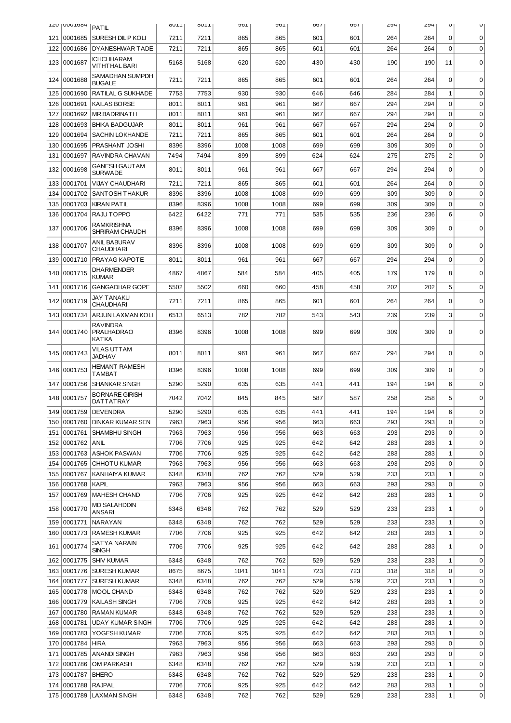|     | TTO I NUNTOOH          | PATIL                                  | OUIL         | OUIL         | AOT        | AOT        | 001        | <b>007</b> | ∠५4        | 294        | U                | U           |
|-----|------------------------|----------------------------------------|--------------|--------------|------------|------------|------------|------------|------------|------------|------------------|-------------|
| 121 | 0001685                | SURESH DILIP KOLI                      | 7211         | 7211         | 865        | 865        | 601        | 601        | 264        | 264        | $\mathbf 0$      | 0           |
| 122 | 0001686                | DYANESHWAR TADE                        | 7211         | 7211         | 865        | 865        | 601        | 601        | 264        | 264        | $\mathbf 0$      | 0           |
| 123 | 0001687                | ICHCHHARAM<br>VITHTHAL BARI            | 5168         | 5168         | 620        | 620        | 430        | 430        | 190        | 190        | 11               | $\mathbf 0$ |
| 124 | 0001688                | SAMADHAN SUMPDH<br><b>BUGALE</b>       | 7211         | 7211         | 865        | 865        | 601        | 601        | 264        | 264        | 0                | $\Omega$    |
| 125 | 0001690                | RATILAL G SUKHADE                      | 7753         | 7753         | 930        | 930        | 646        | 646        | 284        | 284        | $\mathbf{1}$     | $\mathbf 0$ |
| 126 | 0001691                | KAILAS BORSE                           | 8011         | 8011         | 961        | 961        | 667        | 667        | 294        | 294        | $\mathbf 0$      | 0           |
| 127 | 0001692                | <b>MR.BADRINATH</b>                    | 8011         | 8011         | 961        | 961        | 667        | 667        | 294        | 294        | $\mathbf 0$      | 0           |
| 128 | 0001693                | <b>BHIKA BADGUJAR</b>                  | 8011         | 8011         | 961        | 961        | 667        | 667        | 294        | 294        | $\mathbf 0$      | 0           |
| 129 | 0001694                | <b>SACHIN LOKHANDE</b>                 | 7211         | 7211         | 865        | 865        | 601        | 601        | 264        | 264        | $\Omega$         | 0           |
| 130 | 0001695                | PRASHANT JOSHI                         | 8396         | 8396         | 1008       | 1008       | 699        | 699        | 309        | 309        | $\Omega$         | $\mathbf 0$ |
| 131 | 0001697                | RAVINDRA CHAVAN                        | 7494         | 7494         | 899        | 899        | 624        | 624        | 275        | 275        | $\overline{c}$   | $\mathbf 0$ |
| 132 | 0001698                | GANESH GAUT AM<br><b>SURWADE</b>       | 8011         | 8011         | 961        | 961        | 667        | 667        | 294        | 294        | $\mathbf 0$      | 0           |
| 133 | 0001701                | <b>VIJAY CHAUDHARI</b>                 | 7211         | 7211         | 865        | 865        | 601        | 601        | 264        | 264        | $\mathbf 0$      | $\mathbf 0$ |
| 134 | 0001702                | <b>SANTOSH THAKUR</b>                  | 8396         | 8396         | 1008       | 1008       | 699        | 699        | 309        | 309        | $\mathbf 0$      | $\mathbf 0$ |
| 135 | 0001703                | <b>KIRAN PATIL</b>                     | 8396         | 8396         | 1008       | 1008       | 699        | 699        | 309        | 309        | $\mathbf 0$      | $\mathbf 0$ |
| 136 | 0001704                | RAJU TOPPO                             | 6422         | 6422         | 771        | 771        | 535        | 535        | 236        | 236        | 6                | 0           |
| 137 | 0001706                | RAMKRISHNA<br>SHRIRAM CHAUDH           | 8396         | 8396         | 1008       | 1008       | 699        | 699        | 309        | 309        | $\mathbf 0$      | $\mathbf 0$ |
| 138 | 0001707                | ANIL BABURAV<br><b>CHAUDHARI</b>       | 8396         | 8396         | 1008       | 1008       | 699        | 699        | 309        | 309        | $\Omega$         | $\mathbf 0$ |
| 139 | 0001710                | PRAYAG KAPOTE                          | 8011         | 8011         | 961        | 961        | 667        | 667        | 294        | 294        | $\mathbf 0$      | $\mathbf 0$ |
| 140 | 0001715                | DHARMENDER<br>KUMAR                    | 4867         | 4867         | 584        | 584        | 405        | 405        | 179        | 179        | 8                | 0           |
| 141 | 0001716                | <b>GANGADHAR GOPE</b>                  | 5502         | 5502         | 660        | 660        | 458        | 458        | 202        | 202        | 5                | $\mathbf 0$ |
| 142 | 0001719                | <b>JAY TANAKU</b><br>CHAUDHARI         | 7211         | 7211         | 865        | 865        | 601        | 601        | 264        | 264        | $\Omega$         | $\mathbf 0$ |
| 143 | 0001734                | ARJUN LAXMAN KOLI                      | 6513         | 6513         | 782        | 782        | 543        | 543        | 239        | 239        | 3                | $\mathbf 0$ |
|     | 144 0001740            | RAVINDRA<br><b>PRALHADRAO</b><br>KATKA | 8396         | 8396         | 1008       | 1008       | 699        | 699        | 309        | 309        | $\Omega$         | $\Omega$    |
| 145 | 0001743                | <b>VILAS UTTAM</b><br><b>JADHAV</b>    | 8011         | 8011         | 961        | 961        | 667        | 667        | 294        | 294        | 0                | 0           |
| 146 | 0001753                | HEMANT RAMESH<br>TAMBAT                | 8396         | 8396         | 1008       | 1008       | 699        | 699        | 309        | 309        | $\mathbf 0$      | $\mathbf 0$ |
| 147 | 0001756                | <b>SHANKAR SINGH</b>                   | 5290         | 5290         | 635        | 635        | 441        | 441        | 194        | 194        | 6                | $\mathbf 0$ |
|     | 148 0001757            | <b>BORNARE GIRISH</b><br>DATTATRAY     | 7042         | 7042         | 845        | 845        | 587        | 587        | 258        | 258        | 5                | $\mathbf 0$ |
|     |                        | 149 0001759 DEVENDRA                   | 5290         | 5290         | 635        | 635        | 441        | 441        | 194        | 194        | 6                | 0           |
| 150 | 0001760                | <b>DINKAR KUMAR SEN</b>                | 7963         | 7963         | 956        | 956        | 663        | 663        | 293        | 293        | $\mathbf 0$      | 0           |
| 151 | 0001761                | <b>SHAMBHU SINGH</b>                   | 7963         | 7963         | 956        | 956        | 663        | 663        | 293        | 293        | $\mathbf 0$      | 0           |
| 152 | 0001762                | ANIL                                   | 7706         | 7706         | 925        | 925        | 642        | 642        | 283        | 283        | 1                | $\mathbf 0$ |
| 153 | 0001763                | <b>ASHOK PASWAN</b>                    | 7706         | 7706         | 925        | 925        | 642        | 642        | 283        | 283        | 1                | 0           |
| 154 | 0001765                | CHHOTU KUMAR                           | 7963         | 7963         | 956        | 956        | 663        | 663        | 293        | 293        | 0                | $\mathbf 0$ |
| 155 | 0001767                | KANHAIYA KUMAR                         | 6348         | 6348         | 762        | 762        | 529        | 529        | 233        | 233        | 1                | $\mathbf 0$ |
| 156 | 0001768                | KAPIL                                  | 7963         | 7963         | 956        | 956        | 663        | 663        | 293        | 293        | $\boldsymbol{0}$ | $\mathbf 0$ |
| 157 | 0001769                | <b>MAHESH CHAND</b>                    | 7706         | 7706         | 925        | 925        | 642        | 642        | 283        | 283        | $\mathbf 1$      | $\mathbf 0$ |
| 158 | 0001770                | <b>MD SALAHDDIN</b><br>ANSARI          | 6348         | 6348         | 762        | 762        | 529        | 529        | 233        | 233        | 1                | 0           |
| 159 | 0001771                | NARAYAN                                | 6348         | 6348         | 762        | 762        | 529        | 529        | 233        | 233        | 1                | 0           |
| 160 | 0001773<br>161 0001774 | <b>RAMESH KUMAR</b><br>SATYA NARAIN    | 7706<br>7706 | 7706<br>7706 | 925<br>925 | 925<br>925 | 642<br>642 | 642<br>642 | 283<br>283 | 283<br>283 | 1<br>1           | 0<br>0      |
| 162 | 0001775                | SINGH<br><b>SHIV KUMAR</b>             | 6348         | 6348         | 762        | 762        | 529        | 529        | 233        | 233        | 1                | 0           |
| 163 | 0001776                | <b>SURESH KUMAR</b>                    | 8675         | 8675         | 1041       | 1041       | 723        | 723        | 318        | 318        | $\mathbf 0$      | $\mathbf 0$ |
| 164 | 0001777                | <b>SURESH KUMAR</b>                    | 6348         | 6348         | 762        | 762        | 529        | 529        | 233        | 233        | 1                | $\mathbf 0$ |
| 165 | 0001778                | MOOL CHAND                             | 6348         | 6348         | 762        | 762        | 529        | 529        | 233        | 233        | 1                | $\mathbf 0$ |
| 166 | 0001779                | <b>KAILASH SINGH</b>                   | 7706         | 7706         | 925        | 925        | 642        | 642        | 283        | 283        | 1                | $\mathbf 0$ |
| 167 | 0001780                | <b>RAMAN KUMAR</b>                     | 6348         | 6348         | 762        | 762        | 529        | 529        | 233        | 233        | 1                | $\mathbf 0$ |
| 168 | 0001781                | <b>UDAY KUMAR SINGH</b>                | 7706         | 7706         | 925        | 925        | 642        | 642        | 283        | 283        | 1                | 0           |
| 169 | 0001783                | YOGESH KUMAR                           | 7706         | 7706         | 925        | 925        | 642        | 642        | 283        | 283        | 1                | 0           |
| 170 | 0001784                | <b>HIRA</b>                            | 7963         | 7963         | 956        | 956        | 663        | 663        | 293        | 293        | 0                | 0           |
| 171 | 0001785                | <b>ANANDI SINGH</b>                    | 7963         | 7963         | 956        | 956        | 663        | 663        | 293        | 293        | 0                | 0           |
| 172 | 0001786                | OM PARKASH                             | 6348         | 6348         | 762        | 762        | 529        | 529        | 233        | 233        | 1                | 0           |
| 173 | 0001787                | <b>BHERO</b>                           | 6348         | 6348         | 762        | 762        | 529        | 529        | 233        | 233        | 1                | 0           |
| 174 | 0001788                | RAJPAL                                 | 7706         | 7706         | 925        | 925        | 642        | 642        | 283        | 283        | 1                | 0           |
|     |                        | 175 0001789 LAXMAN SINGH               | 6348         | 6348         | 762        | 762        | 529        | 529        | 233        | 233        | $\mathbf 1$      | 0           |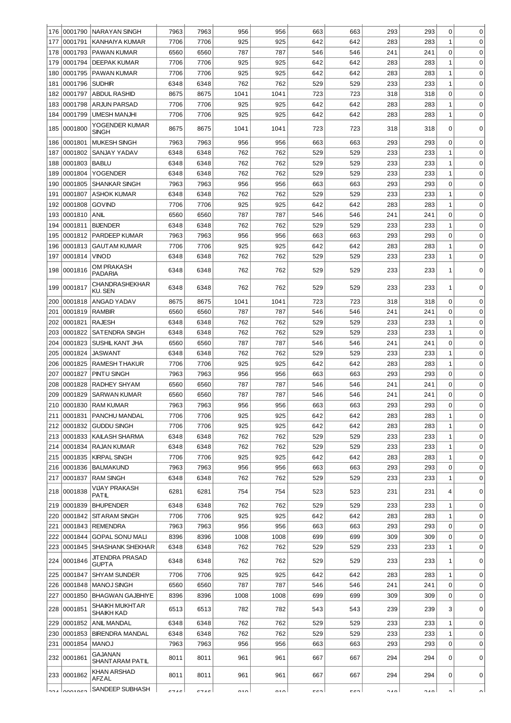| 176        | 0001790            | <b>NARAYAN SINGH</b>                        | 7963         | 7963         | 956        | 956        | 663        | 663        | 293        | 293        | 0            | 0                |
|------------|--------------------|---------------------------------------------|--------------|--------------|------------|------------|------------|------------|------------|------------|--------------|------------------|
| 177        | 0001791            | KANHAIYA KUMAR                              | 7706         | 7706         | 925        | 925        | 642        | 642        | 283        | 283        | 1            | 0                |
| 178        | 0001793            | PAWAN KUMAR                                 | 6560         | 6560         | 787        | 787        | 546        | 546        | 241        | 241        | 0            | 0                |
| 179        | 0001794            | <b>DEEPAK KUMAR</b>                         | 7706         | 7706         | 925        | 925        | 642        | 642        | 283        | 283        | 1            | 0                |
| 180        | 0001795            | PAWAN KUMAR                                 | 7706         | 7706         | 925        | 925        | 642        | 642        | 283        | 283        | 1            | 0                |
| 181        | 0001796            | <b>SUDHIR</b>                               | 6348         | 6348         | 762        | 762        | 529        | 529        | 233        | 233        | 1            | 0                |
| 182        | 0001797            | <b>ABDUL RASHID</b>                         | 8675         | 8675         | 1041       | 1041       | 723        | 723        | 318        | 318        | 0            | $\mathbf 0$      |
| 183        | 0001798            | <b>ARJUN PARSAD</b>                         | 7706         | 7706         | 925        | 925        | 642        | 642        | 283        | 283        | 1            | 0                |
| 184        | 0001799            | <b>UMESH MANJHI</b>                         | 7706         | 7706         | 925        | 925        | 642        | 642        | 283        | 283        | 1            | 0                |
| 185        | 0001800            | YOGENDER KUMAR<br><b>SINGH</b>              | 8675         | 8675         | 1041       | 1041       | 723        | 723        | 318        | 318        | 0            | $\Omega$         |
| 186        | 0001801            | <b>MUKESH SINGH</b>                         | 7963         | 7963         | 956        | 956        | 663        | 663        | 293        | 293        | 0            | 0                |
| 187        | 0001802            | SANJAY YADAV                                | 6348         | 6348         | 762        | 762        | 529        | 529        | 233        | 233        | 1            | $\mathbf 0$      |
| 188        | 0001803            | <b>BABLU</b>                                | 6348         | 6348         | 762        | 762        | 529        | 529        | 233        | 233        | 1            | 0                |
| 189        | 0001804            | YOGENDER                                    | 6348         | 6348         | 762        | 762        | 529        | 529        | 233        | 233        | 1            | 0                |
| 190        | 0001805            | <b>SHANKAR SINGH</b>                        | 7963         | 7963         | 956        | 956        | 663        | 663        | 293        | 293        | 0            | $\mathbf 0$      |
| 191        | 0001807            | <b>ASHOK KUMAR</b>                          | 6348         | 6348         | 762        | 762        | 529        | 529        | 233        | 233        | $\mathbf{1}$ | $\mathbf 0$      |
| 192        | 0001808            | <b>GOVIND</b>                               | 7706         | 7706         | 925        | 925        | 642        | 642        | 283        | 283        | $\mathbf{1}$ | $\mathbf 0$      |
| 193        | 0001810            | <b>ANIL</b>                                 | 6560         | 6560         | 787        | 787        | 546        | 546        | 241        | 241        | $\mathbf 0$  | $\mathbf 0$      |
| 194        | 0001811            | <b>BIJENDER</b>                             | 6348         | 6348         | 762        | 762        | 529        | 529        | 233        | 233        | $\mathbf{1}$ | $\mathbf 0$      |
| 195        | 0001812            | PARDEEP KUMAR                               | 7963         | 7963         | 956        | 956        | 663        | 663        | 293        | 293        | 0            | $\mathbf 0$      |
| 196        | 0001813            | <b>GAUTAM KUMAR</b>                         | 7706         | 7706         | 925        | 925        | 642        | 642        | 283        | 283        | 1            | $\mathbf 0$      |
| 197        | 0001814            | <b>VINOD</b>                                | 6348         | 6348         | 762        | 762        | 529        | 529        | 233        | 233        | $\mathbf 1$  | $\mathbf 0$      |
| 198        | 0001816            | <b>OM PRAKASH</b><br><b>PADARIA</b>         | 6348         | 6348         | 762        | 762        | 529        | 529        | 233        | 233        | 1            | 0                |
| 199        | 0001817            | <b>CHANDRASHEKHAR</b><br><b>KU. SEN</b>     | 6348         | 6348         | 762        | 762        | 529        | 529        | 233        | 233        | 1            | $\Omega$         |
| 200        | 0001818            | ANGAD YADAV                                 | 8675         | 8675         | 1041       | 1041       | 723        | 723        | 318        | 318        | 0            | 0                |
| 201        | 0001819            | <b>RAMBIR</b>                               | 6560         | 6560         | 787        | 787        | 546        | 546        | 241        | 241        | 0            | $\mathbf 0$      |
| 202        | 0001821            | <b>RAJESH</b>                               | 6348         | 6348         | 762        | 762        | 529        | 529        | 233        | 233        | 1            | $\mathbf 0$      |
| 203        | 0001822            | <b>SATENDRA SINGH</b>                       | 6348         | 6348         | 762        | 762        | 529        | 529        | 233        | 233        | $\mathbf 1$  | $\mathbf 0$      |
| 204        | 0001823            | SUSHIL KANT JHA                             | 6560         | 6560         | 787        | 787        | 546        | 546        | 241        | 241        | 0            | $\mathbf 0$      |
| 205        | 0001824            | JASWANT                                     | 6348         | 6348         | 762        | 762        | 529        | 529        | 233        | 233        | 1            | 0                |
| 206        | 0001825            | <b>RAMESH THAKUR</b>                        | 7706         | 7706         | 925        | 925        | 642        | 642        | 283        | 283        | 1            | 0                |
| 207        | 0001827            | PINTU SINGH                                 | 7963         | 7963         | 956        | 956        | 663        | 663        | 293        | 293        | 0            | 0                |
| 208        | 0001828            | RADHEY SHYAM                                | 6560         | 6560         | 787        | 787        | 546        | 546        | 241        | 241        | 0            | 0                |
| 209        | 0001829            | <b>SARWAN KUMAR</b>                         | 6560         | 6560         | 787        | 787        | 546        | 546        | 241        | 241        | 0            | 0                |
|            |                    | 210 0001830 RAM KUMAR                       | 7963         | 7963         | 956        | 956        | 663        | 663        | 293        | 293        | 0            |                  |
| 211        | 0001831            | PANCHU MANDAL                               | 7706         | 7706         | 925        | 925        | 642        | 642        | 283        | 283        | $\mathbf{1}$ | $\mathbf 0$      |
| 212        | 0001832            | <b>GUDDU SINGH</b>                          | 7706         | 7706         | 925        | 925        | 642        | 642        | 283        | 283        | 1            | 0                |
| 213        | 0001833            | KAILASH SHARMA                              | 6348         | 6348         | 762        | 762        | 529        | 529        | 233        | 233        | $\mathbf{1}$ | $\mathbf 0$      |
| 214        | 0001834            | <b>RAJAN KUMAR</b>                          | 6348         | 6348         | 762        | 762        | 529        | 529        | 233        | 233        | $\mathbf{1}$ | $\mathbf 0$      |
| 215        | 0001835            | <b>KIRPAL SINGH</b>                         | 7706         | 7706         | 925        | 925        | 642        | 642        | 283        | 283        | $\mathbf{1}$ | $\mathbf 0$      |
| 216        | 0001836            | <b>BALMAKUND</b>                            | 7963         | 7963         | 956        | 956        | 663        | 663        | 293        | 293        | $\mathbf 0$  | $\mathbf 0$      |
| 217        | 0001837            | <b>RAM SINGH</b>                            | 6348         | 6348         | 762        | 762        | 529        | 529        | 233        | 233        | 1            | $\mathbf 0$      |
| 218        | 0001838            | VIJAY PRAKASH<br>PATIL                      | 6281         | 6281         | 754        | 754        | 523        | 523        | 231        | 231        | 4            | 0                |
| 219        | 0001839            | <b>BHUPENDER</b>                            | 6348         | 6348         | 762        | 762        | 529        | 529        | 233        | 233        | 1            | 0                |
| 220        | 0001842            | <b>SITARAM SINGH</b>                        | 7706         | 7706         | 925        | 925        | 642        | 642        | 283        | 283        | 1            | $\mathbf 0$      |
| 221        | 0001843            | <b>REMENDRA</b>                             | 7963         | 7963         | 956        | 956        | 663        | 663        | 293        | 293        | 0            | $\mathbf 0$      |
| 222        | 0001844            | <b>GOPAL SONU MALI</b>                      | 8396         | 8396         | 1008       | 1008       | 699        | 699        | 309        | 309        | 0            | $\mathbf 0$      |
| 223        | 0001845            | <b>SHASHANK SHEKHAR</b><br>JIT ENDRA PRASAD | 6348<br>6348 | 6348<br>6348 | 762<br>762 | 762<br>762 | 529<br>529 | 529<br>529 | 233<br>233 | 233        | 1<br>1       | 0<br>$\mathbf 0$ |
| 224<br>225 | 0001846<br>0001847 | <b>GUPTA</b><br><b>SHYAM SUNDER</b>         | 7706         | 7706         | 925        | 925        | 642        | 642        | 283        | 233<br>283 | 1            | $\mathbf 0$      |
| 226        | 0001848            | MANOJ SINGH                                 | 6560         | 6560         | 787        | 787        | 546        | 546        | 241        | 241        | 0            | 0                |
| 227        | 0001850            | <b>BHAGWAN GAJBHIYE</b>                     | 8396         | 8396         | 1008       | 1008       | 699        | 699        | 309        | 309        | 0            | 0                |
| 228        | 0001851            | <b>SHAIKH MUKHTAR</b><br><b>SHAIKH KAD</b>  | 6513         | 6513         | 782        | 782        | 543        | 543        | 239        | 239        | 3            | $\mathbf 0$      |
| 229        | 0001852            | ANIL MANDAL                                 | 6348         | 6348         | 762        | 762        | 529        | 529        | 233        | 233        | 1            | $\mathbf 0$      |
| 230        | 0001853            | <b>BIRENDRA MANDAL</b>                      | 6348         | 6348         | 762        | 762        | 529        | 529        | 233        | 233        | 1            | $\mathbf 0$      |
| 231        | 0001854            | <b>MANOJ</b>                                | 7963         | 7963         | 956        | 956        | 663        | 663        | 293        | 293        | 0            | $\mathbf 0$      |
| 232        | 0001861            | GAJANAN                                     | 8011         | 8011         | 961        | 961        | 667        | 667        | 294        | 294        | $\Omega$     | $\mathbf 0$      |
|            | 233 0001862        | SHANT ARAM PATIL<br>KHAN ARSHAD             | 8011         | 8011         | 961        | 961        | 667        | 667        | 294        | 294        | 0            | 0                |
|            | ana Longanea       | AFZAL<br>SANDEEP SUBHASH                    | C7AC         | C7AC         | 010        | 010        | E CO.      | cen        | 0.10       | 0.10       | o۱           |                  |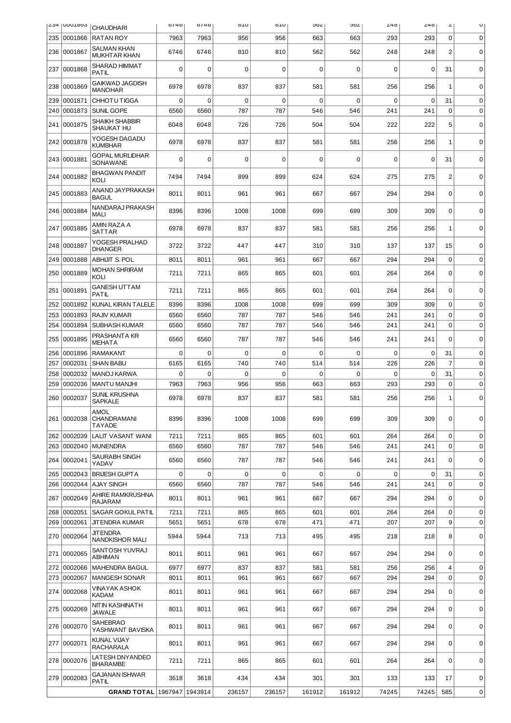| ⊬ٽ∠        | I UUU LOOS         | <b>CHAUDHARI</b>                           | 0/40         | 0/40         | 0TO         | <b>OTO</b> | ∠סכ         | ∠סכ         | <b>40</b>   | 240         | ۷                | U                          |
|------------|--------------------|--------------------------------------------|--------------|--------------|-------------|------------|-------------|-------------|-------------|-------------|------------------|----------------------------|
| 235        | 0001866            | <b>RATAN ROY</b>                           | 7963         | 7963         | 956         | 956        | 663         | 663         | 293         | 293         | 0                | $\mathbf 0$                |
| 236        | 0001867            | <b>SALMAN KHAN</b><br><b>MUKHTAR KHAN</b>  | 6746         | 6746         | 810         | 810        | 562         | 562         | 248         | 248         | $\overline{2}$   | $\mathbf 0$                |
| 237        | 0001868            | SHARAD HIMMAT<br>PATIL                     | 0            | $\Omega$     | 0           | 0          | 0           | 0           | 0           | $\Omega$    | 31               | $\Omega$                   |
| 238        | 0001869            | <b>GAIKWAD JAGDISH</b><br><b>MANOHAR</b>   | 6978         | 6978         | 837         | 837        | 581         | 581         | 256         | 256         | $\mathbf{1}$     | 0                          |
| 239        | 0001871            | CHHOTU TIGGA                               | 0            | 0            | $\mathbf 0$ | 0          | 0           | $\mathbf 0$ | 0           | 0           | 31               | $\mathbf 0$                |
| 240        | 0001873            | SUNIL GOPE                                 | 6560         | 6560         | 787         | 787        | 546         | 546         | 241         | 241         | $\mathbf 0$      | $\mathbf 0$                |
| 241        | 0001875            | <b>SHAIKH SHABBIR</b><br><b>SHAUKAT HU</b> | 6048         | 6048         | 726         | 726        | 504         | 504         | 222         | 222         | 5                | $\mathbf 0$                |
|            | 242 0001878        | YOGESH DAGADU<br><b>KUMBHAR</b>            | 6978         | 6978         | 837         | 837        | 581         | 581         | 256         | 256         | 1                | $\Omega$                   |
|            | 243 0001881        | <b>GOPAL MURLIDHAR</b><br>SONAWANE         | 0            | $\Omega$     | $\mathbf 0$ | $\Omega$   | $\mathbf 0$ | $\mathbf 0$ | 0           | $\Omega$    | 31               | $\mathbf 0$                |
| 244        | 0001882            | <b>BHAGWAN PANDIT</b><br>KOLI              | 7494         | 7494         | 899         | 899        | 624         | 624         | 275         | 275         | $\overline{c}$   | $\mathbf 0$                |
|            | 245 0001883        | ANAND JAYPRAKASH<br><b>BAGUL</b>           | 8011         | 8011         | 961         | 961        | 667         | 667         | 294         | 294         | $\mathbf 0$      | $\mathbf 0$                |
|            | 246 0001884        | NANDARAJ PRAKASH<br><b>MALI</b>            | 8396         | 8396         | 1008        | 1008       | 699         | 699         | 309         | 309         | 0                | 0                          |
| 247        | 0001885            | AMIN RAZA A<br><b>SATTAR</b>               | 6978         | 6978         | 837         | 837        | 581         | 581         | 256         | 256         | 1                | $\mathbf 0$                |
|            | 248 0001887        | YOGESH PRALHAD<br><b>DHANGER</b>           | 3722         | 3722         | 447         | 447        | 310         | 310         | 137         | 137         | 15               | $\mathbf 0$                |
| 249        | 0001888            | <b>ABHIJIT S. POL</b>                      | 8011         | 8011         | 961         | 961        | 667         | 667         | 294         | 294         | $\mathbf 0$      | $\mathbf 0$                |
| 250        | 0001889            | <b>MOHAN SHRIRAM</b><br>KOLI               | 7211         | 7211         | 865         | 865        | 601         | 601         | 264         | 264         | 0                | 0                          |
| 251        | 0001891            | <b>GANESH UTTAM</b><br>PATIL               | 7211         | 7211         | 865         | 865        | 601         | 601         | 264         | 264         | $\Omega$         | $\mathbf 0$                |
| 252        | 0001892            | KUNAL KIRAN TALELE                         | 8396         | 8396         | 1008        | 1008       | 699         | 699         | 309         | 309         | 0                | $\mathbf 0$                |
| 253        | 0001893            | RAJIV KUMAR                                | 6560         | 6560         | 787         | 787        | 546         | 546         | 241         | 241         | 0                | $\mathbf 0$                |
| 254        | 0001894            | <b>SUBHASH KUMAR</b>                       | 6560         | 6560         | 787         | 787        | 546         | 546         | 241         | 241         | $\Omega$         | $\mathbf 0$                |
| 255        | 0001895            | PRASHANTA KR<br><b>MEHATA</b>              | 6560         | 6560         | 787         | 787        | 546         | 546         | 241         | 241         | $\mathbf 0$      | $\mathbf 0$                |
| 256        | 0001896            | <b>RAMAKANT</b>                            | 0            | $\mathbf 0$  | $\mathbf 0$ | 0          | 0           | $\mathbf 0$ | $\mathbf 0$ | $\mathbf 0$ | 31               | $\mathbf 0$                |
| 257        | 0002031            | <b>SHAN BABU</b>                           | 6165         | 6165         | 740         | 740        | 514         | 514         | 226         | 226         | $\overline{7}$   | $\mathbf 0$                |
| 258        | 0002032            | <b>MANOJ KARWA</b>                         | 0            | $\mathbf 0$  | 0           | 0          | 0           | 0           | 0           | $\mathbf 0$ | 31               | $\mathbf 0$                |
| 259        | 0002036            | MANTU MANJHI                               | 7963         | 7963         | 956         | 956        | 663         | 663         | 293         | 293         | $\boldsymbol{0}$ | $\mathbf 0$                |
| 260        | 0002037            | SUNIL KRUSHNA<br><b>SAPKALE</b>            | 6978         | 6978         | 837         | 837        | 581         | 581         | 256         | 256         | 1                | $\mathbf 0$                |
|            | 261 0002038        | AMOL<br>CHANDRAMANI<br><b>TAYADE</b>       | 8396         | 8396         | 1008        | 1008       | 699         | 699         | 309         | 309         | 0                | $\mathbf 0$                |
| 262        | 0002039            | LALIT VASANT WANI                          | 7211         | 7211         | 865         | 865        | 601         | 601         | 264         | 264         | 0                | $\mathbf 0$                |
| 263        | 0002040            | <b>MUNENDRA</b>                            | 6560         | 6560         | 787         | 787        | 546         | 546         | 241         | 241         | $\Omega$         | 0                          |
| 264        | 0002041            | <b>SAURABH SINGH</b><br>YADAV              | 6560         | 6560         | 787         | 787        | 546         | 546         | 241         | 241         | $\Omega$         | $\mathbf 0$                |
| 265        | 0002043            | <b>BRUESH GUPTA</b>                        | 0            | $\mathbf 0$  | 0           | 0          | $\mathbf 0$ | 0           | 0           | $\mathbf 0$ | 31               | $\mathbf 0$                |
| 266        | 0002044            | AJAY SINGH                                 | 6560         | 6560         | 787         | 787        | 546         | 546         | 241         | 241         | 0                | $\mathbf 0$                |
| 267        | 0002049            | AHIRE RAMKRUSHNA<br><b>RAJARAM</b>         | 8011         | 8011         | 961         | 961        | 667         | 667         | 294         | 294         | $\Omega$         | 0                          |
| 268        | 0002051            | SAGAR GOKUL PATIL                          | 7211         | 7211         | 865         | 865        | 601         | 601         | 264         | 264         | 0                | $\mathbf 0$                |
| 269<br>270 | 0002061<br>0002064 | <b>JIT ENDRA KUMAR</b><br><b>JIT ENDRA</b> | 5651<br>5944 | 5651<br>5944 | 678<br>713  | 678<br>713 | 471<br>495  | 471<br>495  | 207<br>218  | 207<br>218  | 9<br>8           | $\mathbf 0$<br>$\mathbf 0$ |
| 271        | 0002065            | NANDKISHOR MALI<br>SANTOSH YUVRAJ          | 8011         | 8011         | 961         | 961        | 667         | 667         | 294         | 294         | $\Omega$         | $\mathbf 0$                |
|            |                    | <b>ABHIMAN</b>                             |              |              |             |            |             |             |             |             |                  |                            |
| 272        | 0002066<br>0002067 | <b>MAHENDRA BAGUL</b>                      | 6977         | 6977         | 837<br>961  | 837<br>961 | 581         | 581         | 256<br>294  | 256<br>294  | 4<br>$\Omega$    | $\mathbf 0$<br>$\mathbf 0$ |
| 273        |                    | <b>MANGESH SONAR</b><br>VINAYAK ASHOK      | 8011         | 8011         |             |            | 667         | 667         |             |             |                  |                            |
| 274        | 0002068            | <b>KADAM</b>                               | 8011         | 8011         | 961         | 961        | 667         | 667         | 294         | 294         | $\mathbf 0$      | $\mathbf 0$                |
|            | 275 0002069        | NITIN KASHINATH<br><b>JAWALE</b>           | 8011         | 8011         | 961         | 961        | 667         | 667         | 294         | 294         | 0                | 0                          |
| 276        | 0002070            | SAHEBRAO<br>YASHWANT BAVISKA               | 8011         | 8011         | 961         | 961        | 667         | 667         | 294         | 294         | $\Omega$         | $\mathbf 0$                |
| 277        | 0002071            | KUNAL VIJAY<br><b>RACHARALA</b>            | 8011         | 8011         | 961         | 961        | 667         | 667         | 294         | 294         | $\mathbf 0$      | $\mathbf 0$                |
|            | 278 0002076        | LATESH DNY ANDEO<br><b>BHARAMBE</b>        | 7211         | 7211         | 865         | 865        | 601         | 601         | 264         | 264         | 0                | $\mathbf 0$                |
|            | 279 0002083        | <b>GAJANAN ISHWAR</b><br>PATIL             | 3618         | 3618         | 434         | 434        | 301         | 301         | 133         | 133         | 17               | $\mathbf 0$                |
|            |                    | GRAND TOTAL 1967947 1943914                |              |              | 236157      | 236157     | 161912      | 161912      | 74245       | 74245       | 585              | 0                          |